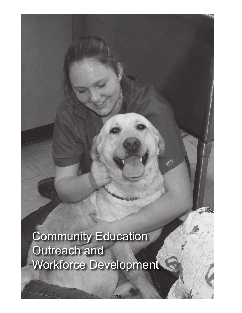Community Education Outreach and Workforce Development

170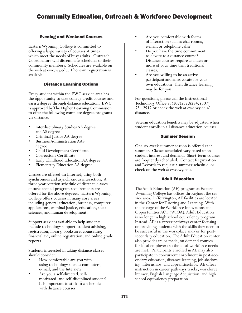# Community Education, Outreach & Workforce Development

### Evening and Weekend Courses

Eastern Wyoming College is committed to offering a large variety of courses at times which meet the needs of busy adults. Outreach Coordinators will disseminate schedules to their community members. Schedules are available on the web at ewc.wy.edu. Phone-in registration is available.

#### Distance Learning Options

Every student within the EWC service area has the opportunity to take college credit courses and earn a degree through distance education. EWC is approved by The Higher Learning Commission to offer the following complete degree programs via distance.

- Interdisciplinary Studies AA degree<br>
 Criminal Justice AA degree<br>
 Business Administration AAS<br>
 degree<br>
 Child Development Certificate<br>
 Corrections Certificate<br>
 Early Childhood Education AA degree
- 
- 
- 
- 
- 
- Elementary Education AA degree

Classes are offered via Internet, using both synchronous and asynchronous interaction. A three year rotation schedule of distance classes ensures that all program requirements are offered for the above degrees. Eastern Wyoming College offers courses in many core areas including general education, business, computer applications, criminal justice, education, social sciences, and human development.

Support services available to help students include technology support, student advising, registration, library, bookstore, counseling, financial aid, online registration, and online grade reports.

Students interested in taking distance classes should consider:

- How comfortable are you with using technology such as computers,
- e-mail, and the Internet?<br>
Are you a self-directed, self-<br>
motivated, and self-disciplined student? It is important to stick to a schedule with distance courses.
- Are you comfortable with forms of interaction such as chat rooms, e-mail, or telephone calls? Do you have the time commitment
- to devote to a distance course? Distance courses require as much or
- more of your time than traditional<br>classes.<br>Are you willing to be an active<br>participant and an advocate for your own education? Then distance learning may be for you!

For questions, please call the Instructional Technology Office at (307)532.8284, (307) 534.2912 or check the web at ewc.wy.edu/ distance.

Veteran education benefits may be adjusted when student enrolls in all distance education courses.

#### Summer Session

One six-week summer session is offered each summer. Classes scheduled vary based upon student interest and demand. Short-term courses are frequently scheduled. Contact Registration and Records to request a summer schedule, or check on the web at ewc.wy.edu.

#### Adult Education

The Adult Education (AE) program at Eastern Wyoming College has offices throughout the service area. In Torrington, AE facilities are located in the Center for Tutoring and Learning. With the passage of the Workforce Innovations and Opportunities ACT (WIOA), Adult Education is no longer a high school equivalency program. Instead, AE is a career pathways center focusing on providing students with the skills they need to be successful in the workplace and/or for postsecondary education. The Adult Education center also provides tailor made, on demand courses for local employers so the local workforce needs are met. Participants enrolled in AE may also participate in concurrent enrollment in post-secondary education, distance learning, job shadowing, internships, and apprenticeships. AE offers instruction in career pathways tracks, workforce literacy, English Language Acquisition, and high school equivalency preparation.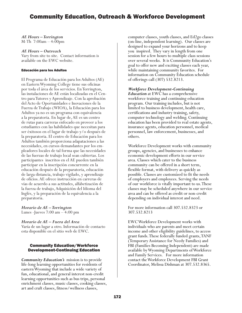# Community Education, Outreach & Workforce Development

## *AE Hours – Torrington*

M-Th 7:00am – 4:00pm

### *AE Hours – Outreach*

Vary from site to site. Contact information is available on the EWC website.

#### Educación para los Adultos

El Programa de Educación para los Adultos (AE) en Eastern Wyoming College tiene sus oficinas por toda el área de los servicios. En Torrington, las instalaciones de AE están localizadas en el Cen- tro para Tutores y Aprendizaje. Con la aprobación del Acto de Oportunidades e Inovaciones de la Fuerza de Trabajo (WIOA), la Educación para los Adultos ya no es un programa con equivalencia a la preparatoria. En lugar de, AE es un centro de rutas para carreras enfocado en proveer a los estudiantes con las habilidades que necesitan para ser éxitosos en el lugar de trabajo y/o después de la preparatoria. El centro de Educación para los Adultos también proporciona adapataciones a las necesidades, en cursos demandantes por los em- pleadores locales de tal forma que las necesidades de las fuerzas de trabajo local sean cubiertas. Los participantes inscritos en el AE pueden también participar en la inscripción concurrente en la educación después de la preparatoria, educación de larga distancia, trabajo vigilado, y aprendizaje de oficios. AE ofrece instrucción en carreras de vías de acuerdo a sus actitudes, alfabetización de la fuerza de trabajo, Adquisición del Idioma del Inglés, y la preparación de la equivalencia a la preparatoria.

*Horario de AE – Torrington* Lunes -Jueves 7:00 am – 4:00 pm

## *Horario de AE – Fuera del Area*

Varía de un lugar a otro. Información de contacto esta disponible en el sitio web de EWC.

## Community Education/Workforce Development-Continuing Education

*Community Education's* mission is to provide life-long learning opportunities for residents of eastern Wyoming that include a wide variety of fun, educational, and general interest non-credit learning opportunities such as bus trips, personal enrichment classes, music classes, cooking classes, art and craft classes, fitness/wellness classes,

computer classes, youth classes, and Ed2go classes (on-line, independent learning). Our classes are designed to expand your horizons and to keep you inspired. They vary in length from one session for a few hours to multiple class sessions over several weeks. It is Community Education's goal to offer new and exciting classes each year, while maintaining community favorites. For information on Community Education schedule of offerings call (307) 532.8213.

### *Workforce Development-Continuing*

*Education* at EWC has a comprehensive workforce training and continuing education program. Our training includes, but is not limited to business development, health care, certifications and industry training, safety, computer technology and welding. Continuing education has been provided to real estate agents, insurance agents, education personnel, medical personnel, law enforcement, businesses, and others.

Workforce Development works with community groups, agencies, and businesses to enhance economic development efforts in our service area. Classes which cater to the business community can be offered in a short term, flexible format, with delivery as quickly as possible. Classes are customized to fit the needs of employers and employees. Serving the needs of our workforce is vitally important to us. These classes may be scheduled anywhere in our service area and can be offered as credit or non-credit depending on individual interest and need.

For more information call 307.532.8323 or 307.532.8213

EWC Workforce Development works with individuals who are parents and meet certain income and other eligibility guidelines, to access grant funds. These federally funded grants, TANF (Temporary Assistance for Needy Families) and FBI (Families Becoming Independent) are made available by Wyoming Departments of Workforce and Family Services. For more information contact the Workforce Development FBI Grant Coordinator, Melissa Dishman at 307.532.8365.